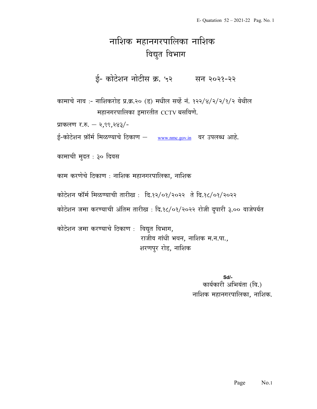## नाशिक महानगरपालिका नाशिक विद्युत विभाग

ई- कोटेशन नोटीस क्र. ५२ सन २०२१-२२

कामाचे नाव :- नाशिकरोड प्र.क्र.२० (ड) मधील सर्व्हे नं. १२२/४/२/२/१/२ येथील  $i$  महानगरपालिका इमारतीत  $\overline{\text{ccTV}}$  बसविणे.

प्राकलण र.रु. – २,९९,२४३/-

ई-कोटेशन फ़ॉर्म मिळण्याचे ठिकाण – www.nmc.gov.in वर उपलब्ध आहे.

कामाची मुदत : ३० दिवस

काम करणेचे ठिकाण : नाशिक महानगरपालिका, नाशिक

कोटेशन फॉर्म मिळण्याची तारीख: दि.१२/०१/२०२२ ते दि.१८/०१/२०२२

कोटेशन जमा करण्याची अंतिम तारीख : दि.१८/०१/२०२२ रोजी दुपारी ३.०० वाजेपर्यत

कोटेशन जमा करण्याचे ठिकाण : विद्युत विभाग, राजीव गांधी भवन, नाशिक म.न.पा., शरणपुर रोड, नाशिक

> Sd/- कार्यकारी अभियंता (वि.) नाशिक महानगरपालिका, नाशिक.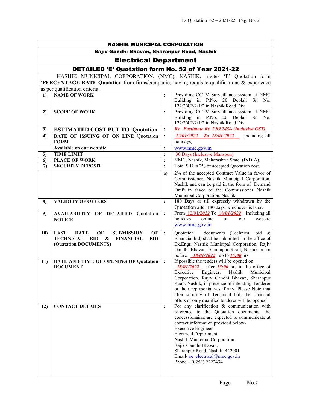| <b>NASHIK MUNICIPAL CORPORATION</b>                |                                                                                                                                                                               |                |                                                                                                                                                                                                                                                                                                                                                                                                            |  |  |
|----------------------------------------------------|-------------------------------------------------------------------------------------------------------------------------------------------------------------------------------|----------------|------------------------------------------------------------------------------------------------------------------------------------------------------------------------------------------------------------------------------------------------------------------------------------------------------------------------------------------------------------------------------------------------------------|--|--|
| Rajiv Gandhi Bhavan, Sharanpur Road, Nashik        |                                                                                                                                                                               |                |                                                                                                                                                                                                                                                                                                                                                                                                            |  |  |
| <b>Electrical Department</b>                       |                                                                                                                                                                               |                |                                                                                                                                                                                                                                                                                                                                                                                                            |  |  |
| DETAILED 'E' Quotation form No. 52 of Year 2021-22 |                                                                                                                                                                               |                |                                                                                                                                                                                                                                                                                                                                                                                                            |  |  |
|                                                    | NASHIK MUNICIPAL CORPORATION, (NMC), NASHIK, invites 'E' Quotation form                                                                                                       |                |                                                                                                                                                                                                                                                                                                                                                                                                            |  |  |
|                                                    | <b>PERCENTAGE RATE Quotation</b> from firms/companies having requisite qualifications & experience                                                                            |                |                                                                                                                                                                                                                                                                                                                                                                                                            |  |  |
|                                                    | as per qualification criteria.                                                                                                                                                |                |                                                                                                                                                                                                                                                                                                                                                                                                            |  |  |
| $\bf{1}$                                           | <b>NAME OF WORK</b>                                                                                                                                                           | $\ddot{\cdot}$ | Providing CCTV Surveillance system at NMC<br>Buliding in P.No. 20 Deolali<br>Sr. No.<br>122/2/4/2/2/1/2 in Nashik Road Div.                                                                                                                                                                                                                                                                                |  |  |
| 2)                                                 | <b>SCOPE OF WORK</b>                                                                                                                                                          | :              | Providing CCTV Surveillance system at NMC<br>Buliding in P.No. 20 Deolali Sr. No.<br>122/2/4/2/2/1/2 in Nashik Road Div.                                                                                                                                                                                                                                                                                   |  |  |
| 3)                                                 | <b>ESTIMATED COST PUT TO Quotation</b>                                                                                                                                        | $\ddot{\cdot}$ | Rs. Eastimate Rs. 2,99,243/- (Inclusive GST)                                                                                                                                                                                                                                                                                                                                                               |  |  |
| 4)                                                 | DATE OF ISSUING OF ON LINE Quotation<br><b>FORM</b>                                                                                                                           | $\ddot{\cdot}$ | 12/01/2022 To 18/01/2022 (Including all<br>holidays)                                                                                                                                                                                                                                                                                                                                                       |  |  |
|                                                    | Available on our web site                                                                                                                                                     | $\ddot{\cdot}$ | www.nmc.gov.in                                                                                                                                                                                                                                                                                                                                                                                             |  |  |
| 5)                                                 | <b>TIME LIMIT</b>                                                                                                                                                             | $\ddot{\cdot}$ | 30 Days (Inclusive Mansoon)                                                                                                                                                                                                                                                                                                                                                                                |  |  |
| 6)                                                 | <b>PLACE OF WORK</b>                                                                                                                                                          | $\ddot{\cdot}$ | NMC, Nashik, Maharashtra State, (INDIA).                                                                                                                                                                                                                                                                                                                                                                   |  |  |
| 7)                                                 | <b>SECURITY DEPOSIT</b>                                                                                                                                                       | $\ddot{\cdot}$ | Total S.D is 2% of accepted Quotation cost.                                                                                                                                                                                                                                                                                                                                                                |  |  |
|                                                    |                                                                                                                                                                               | a)             | 2% of the accepted Contract Value in favor of<br>Commissioner, Nashik Municipal Corporation,<br>Nashik and can be paid in the form of Demand<br>Draft in favor of the Commissioner Nashik<br>Municipal Corporation. Nashik.                                                                                                                                                                                |  |  |
| 8)                                                 | <b>VALIDITY OF OFFERS</b>                                                                                                                                                     | $\ddot{\cdot}$ | 180 Days or till expressly withdrawn by the<br>Quotation after 180 days, whichever is later.                                                                                                                                                                                                                                                                                                               |  |  |
| 9)                                                 | <b>AVAILABILITY OF DETAILED Quotation</b><br><b>NOTICE</b>                                                                                                                    | $\ddot{\cdot}$ | From 12/01/2022 To 18/01/2022 including all<br>holidays<br>online<br>website<br>on<br>our<br>www.nmc.gov.in                                                                                                                                                                                                                                                                                                |  |  |
| <b>10)</b>                                         | <b>LAST</b><br><b>DATE</b><br>OF<br><b>SUBMISSION</b><br>OF<br><b>TECHNICAL</b><br><b>BID</b><br>$\boldsymbol{\&}$<br><b>FINANCIAL</b><br><b>BID</b><br>(Quatation DOCUMENTS) | $\ddot{\cdot}$ | documents (Technical bid &<br>Quotation<br>Financial bid) shall be submitted in the office of<br>Ex.Engr, Nashik Municipal Corporation, Rajiv<br>Gandhi Bhavan, Sharanpur Road, Nashik on or<br>before $18/01/2022$ up to $15:00$ hrs.                                                                                                                                                                     |  |  |
| 11)                                                | DATE AND TIME OF OPENING OF Quatation<br><b>DOCUMENT</b>                                                                                                                      | $\cdot$        | If possible the tenders will be opened on<br>$18/01/2022$ after $15:00$ hrs in the office of<br>Executive Engineer, Nashik Municipal<br>Corporation, Rajiv Gandhi Bhavan, Sharanpur<br>Road, Nashik, in presence of intending Tenderer<br>or their representatives if any. Please Note that<br>after scrutiny of Technical bid, the financial<br>offers of only qualified tenderer will be opened.         |  |  |
| 12)                                                | <b>CONTACT DETAILS</b>                                                                                                                                                        | $\ddot{\cdot}$ | For any clarification $\&$ communication with<br>reference to the Quotation documents, the<br>concessionaires are expected to communicate at<br>contact information provided below-<br><b>Executive Engineer</b><br><b>Electrical Department</b><br>Nashik Municipal Corporation,<br>Rajiv Gandhi Bhavan,<br>Sharanpur Road, Nashik -422001.<br>Email-ee_electrical@nmc.gov.in<br>Phone $- (0253)$ 2222434 |  |  |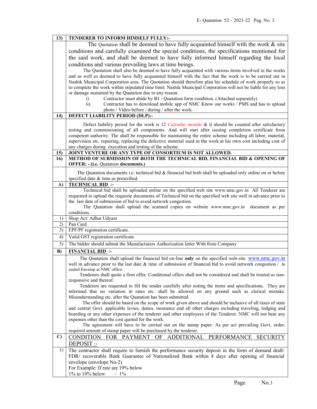| 13)          | TENDERER TO INFORM HIMSELF FULLY:-                                                                                                                                                                                  |  |  |
|--------------|---------------------------------------------------------------------------------------------------------------------------------------------------------------------------------------------------------------------|--|--|
|              | The Quotation shall be deemed to have fully acquainted himself with the work $\&$ site                                                                                                                              |  |  |
|              | conditions and carefully examined the special conditions, the specifications mentioned for                                                                                                                          |  |  |
|              | the said work, and shall be deemed to have fully informed himself regarding the local                                                                                                                               |  |  |
|              |                                                                                                                                                                                                                     |  |  |
|              | conditions and various prevailing laws at time beings.                                                                                                                                                              |  |  |
|              | The Quotation shall also be deemed to have fully acquainted with various items involved in the works                                                                                                                |  |  |
|              | and as well as deemed to have fully acquainted himself with the fact that the work is to be carried out in                                                                                                          |  |  |
|              | Nashik Municipal Corporation area. The Quotation should therefore plan his schedule of work properly so as                                                                                                          |  |  |
|              | to complete the work within stipulated time limit. Nashik Municipal Corporation will not be liable for any loss                                                                                                     |  |  |
|              | or damage sustained by the Quatation due to any reason.                                                                                                                                                             |  |  |
|              | Contractor must abide by B1 / Quatation form condition. (Attached separately)<br>$\mathbf{i}$<br>Contractor has to download mobile app of NMC Know our works / PMS and has to upload<br>$\overline{ii}$             |  |  |
|              | photo / Video before / during / after the work.                                                                                                                                                                     |  |  |
| 14)          | DEFECT LIABILITY PERIOD (DLP):-                                                                                                                                                                                     |  |  |
|              |                                                                                                                                                                                                                     |  |  |
|              | Defect liability period for the work is 12 Calendar months & it should be counted after satisfactory                                                                                                                |  |  |
|              | testing and commissioning of all components. And will start after issuing completion certificate from                                                                                                               |  |  |
|              | competent authority. The shall be responsible for maintaining the entire scheme including all labor, material,                                                                                                      |  |  |
|              | supervision etc. repairing, replacing the defective material used in the work at his own cost including cost of                                                                                                     |  |  |
|              | any charges during execution and testing of the scheme.<br>JOINT VENTURE OR ANY TYPE OF CONSORTIUM IS NOT ALLOWED.                                                                                                  |  |  |
| 15)<br>16)   | METHOD OF SUBMISSION OF BOTH THE TECHNICAL BID, FINANCIAL BID & OPENING OF                                                                                                                                          |  |  |
|              | <b>OFFER: - (i.e. Quatation documents.)</b>                                                                                                                                                                         |  |  |
|              |                                                                                                                                                                                                                     |  |  |
|              | The Quatation documents i.e. technical bid & financial bid both shall be uploaded only online on or before                                                                                                          |  |  |
|              | specified date & time as prescribed.                                                                                                                                                                                |  |  |
| A)           | <b>TECHNICAL BID:</b>                                                                                                                                                                                               |  |  |
|              | Technical bid shall be uploaded online on the specified web site www.nmc.gov.in All Tenderer are<br>requested to upload the requisite documents of Technical bid on the specified web site well in advance prior to |  |  |
|              | the last date of submission of bid to avoid network congestion.                                                                                                                                                     |  |  |
|              | The Quatation shall upload the scanned copies on website www.nmc.gov.in<br>document as per                                                                                                                          |  |  |
|              | conditions.                                                                                                                                                                                                         |  |  |
| 1)           | Shop Act/ Adhar Udyam                                                                                                                                                                                               |  |  |
| 2)           | Pan Card                                                                                                                                                                                                            |  |  |
| 3)           | EPF/PF registration certificate.                                                                                                                                                                                    |  |  |
| 4)           | Valid GST registration certificate.                                                                                                                                                                                 |  |  |
| 5)           | The bidder should submit the Manufacturers Authorization letter With from Company                                                                                                                                   |  |  |
| B)           | <b>FINANCIAL BID:</b>                                                                                                                                                                                               |  |  |
|              | The Quatation shall upload the financial bid on-line only on the specified web-site. www.nmc.gov.in                                                                                                                 |  |  |
|              |                                                                                                                                                                                                                     |  |  |
|              |                                                                                                                                                                                                                     |  |  |
|              | well in advance prior to the last date & time of submission of financial bid to avoid network congestion./ In<br>sealed Envelop at NMC office.                                                                      |  |  |
|              | Tenderers shall quote a firm offer. Conditional offers shall not be considered and shall be treated as non-                                                                                                         |  |  |
|              | responsive and thereof.                                                                                                                                                                                             |  |  |
|              | Tenderers are requested to fill the tender carefully after noting the items and specifications. They are                                                                                                            |  |  |
|              | informed that no variation in rates etc. shall be allowed on any ground such as clerical mistake.                                                                                                                   |  |  |
|              | Misunderstanding etc. after the Quatation has been submitted.                                                                                                                                                       |  |  |
|              | The offer should be based on the scope of work given above and should be inclusive of all taxes of state                                                                                                            |  |  |
|              | and central Govt. applicable levies, duties, insurance and all other charges including traveling, lodging and                                                                                                       |  |  |
|              | boarding or any other expenses of the tenderer and other employees of the Tenderer. NMC will not bear any                                                                                                           |  |  |
|              | expenses other than the cost quoted for the work.                                                                                                                                                                   |  |  |
|              | The agreement will have to be carried out on the stamp paper. As per act prevailing Govt. order,                                                                                                                    |  |  |
| $\mathbf{C}$ | required amount of stamp paper will be purchased by the tenderer.                                                                                                                                                   |  |  |
|              | CONDITION FOR PAYMENT OF ADDITIONAL PERFORMANCE SECURITY                                                                                                                                                            |  |  |
|              | DEPOSIT :-                                                                                                                                                                                                          |  |  |
| 1)           | The contractor shall require to furnish the performance security deposit in the form of demand draft/                                                                                                               |  |  |
|              | FDR/ recoverable Bank Guarantee of Nationalized Bank within 8 days after opening of financial                                                                                                                       |  |  |
|              | envelope (envelope No-2)<br>For Example: If rate are 19% below                                                                                                                                                      |  |  |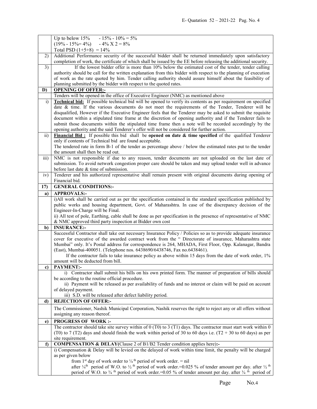|                         | Up to below 15% - 15% - 10% = $5\%$                                                                                                                                         |
|-------------------------|-----------------------------------------------------------------------------------------------------------------------------------------------------------------------------|
|                         | $(19\% - 15\% = 4\%)$ $- 4\%$ X 2 = 8%                                                                                                                                      |
|                         | Total PSD $(1+5+8) = 14\%$                                                                                                                                                  |
| 2)                      | Additional Performance security of the successful bidder shall be returned immediately upon satisfactory                                                                    |
|                         | completion of work, the certificate of which shall be issued by the EE before releasing the additional security.                                                            |
| 3)                      | If the lowest bidder offer is more than 10% below the estimated cost of the tender, tender calling                                                                          |
|                         | authority should be call for the written explanation from this bidder with respect to the planning of execution                                                             |
|                         | of work as the rate quoted by him. Tender calling authority should assure himself about the feasibility of                                                                  |
|                         | planning submitted by the bidder with respect to the quoted rates.                                                                                                          |
| D)                      | <b>OPENING OF OFFER:-</b>                                                                                                                                                   |
|                         | Tenders will be opened in the office of Executive Engineer (NMC) as mentioned above                                                                                         |
| $\ddot{1}$              | <b>Technical bid:</b> If possible technical bid will be opened to verify its contents as per requirement on specified                                                       |
|                         | date & time. If the various documents do not meet the requirements of the Tender, Tenderer will be                                                                          |
|                         | disqualified, However if the Executive Engineer feels that the Tenderer may be asked to submit the requisite                                                                |
|                         | document within a stipulated time frame at the discretion of opening authority and if the Tenderer fails to                                                                 |
|                         | submit those documents within the stipulated time frame then a note will be recorded accordingly by the                                                                     |
|                         | opening authority and the said Tenderer's offer will not be considered for further action.                                                                                  |
| $\overline{ii}$         | Financial Bid: If possible this bid shall be opened on date & time specified of the qualified Tenderer                                                                      |
|                         | only if contents of Technical bid are found acceptable.                                                                                                                     |
|                         | The tendered rate in form B-1 of the tender as percentage above / below the estimated rates put to the tender                                                               |
|                         | the amount shall then be read out.                                                                                                                                          |
| $\overline{\text{iii}}$ | NMC is not responsible if due to any reason, tender documents are not uploaded on the last date of                                                                          |
|                         | submission. To avoid network congestion proper care should be taken and may upload tender well in advance                                                                   |
|                         | before last date & time of submission.                                                                                                                                      |
| iv)                     | Tenderer and his authorized representative shall remain present with original documents during opening of                                                                   |
|                         | Financial bid.                                                                                                                                                              |
| 17)                     | <b>GENERAL CONDITIONS:-</b>                                                                                                                                                 |
| a)                      | <b>APPROVALS:-</b>                                                                                                                                                          |
|                         | i)All work shall be carried out as per the specification contained in the standard specification published by                                                               |
|                         | public works and housing department, Govt. of Maharashtra. In case of the discrepancy decision of the                                                                       |
|                         | Engineer-In-Charge will be Final.                                                                                                                                           |
|                         | ii) All test of pole, Earthing, cable shall be done as per specification in the presence of representative of NMC                                                           |
|                         | & NMC approved third party inspection at Bidder own cost                                                                                                                    |
| b)                      | <b>INSURANCE:-</b>                                                                                                                                                          |
|                         | Successful Contractor shall take out necessary Insurance Policy / Policies so as to provide adequate insurance                                                              |
|                         | cover for executive of the awarded contract work from the " Directorate of insurance, Maharashtra state                                                                     |
|                         | Mumbai" only. It's Postal address for correspondence is 264, MHADA, First Floor, Opp. Kalanagar, Bandra                                                                     |
|                         | (East), Mumbai-400051. (Telephone nos. 6438690/6438746, Fax no.6438461).                                                                                                    |
|                         | If the contractor fails to take insurance policy as above within 15 days from the date of work order, 1%                                                                    |
|                         | amount will be deducted from bill.                                                                                                                                          |
| c)                      | <b>PAYMENT:-</b>                                                                                                                                                            |
|                         | i) Contractor shall submit his bills on his own printed form. The manner of preparation of bills should                                                                     |
|                         | be according to the routine official procedure.                                                                                                                             |
|                         | ii) Payment will be released as per availability of funds and no interest or claim will be paid on account                                                                  |
|                         | of delayed payment.                                                                                                                                                         |
|                         | iii) S.D. will be released after defect liability period.                                                                                                                   |
| d)                      | <b>REJECTION OF OFFER:-</b>                                                                                                                                                 |
|                         | The Commissioner, Nashik Municipal Corporation, Nashik reserves the right to reject any or all offers without                                                               |
|                         | assigning any reason thereof.                                                                                                                                               |
| e)                      | <b>PROGRESS OF WORK:-</b>                                                                                                                                                   |
|                         | The contractor should take site survey within of $0$ (T0) to 3 (T1) days. The contractor must start work within 0                                                           |
|                         | (T0) to 7 (T2) days and should finish the work within period of 30 to 60 days i.e. (T2 + 30 to 60 days) as per                                                              |
|                         | site requirement.                                                                                                                                                           |
| f)                      | <b>COMPENSATION &amp; DELAY</b> (Clause 2 of B1/B2 Tender condition applies here):-                                                                                         |
|                         | i) Compensation & Delay will be levied on the delayed of work within time limit, the penalty will be charged                                                                |
|                         | as per given below                                                                                                                                                          |
|                         | from 1 <sup>st</sup> day of work order to $\frac{1}{4}$ <sup>th</sup> period of work order. = nil                                                                           |
|                         | after $\frac{1}{4}$ <sup>th</sup> period of W.O. to $\frac{1}{2}$ <sup>th</sup> period of work order. = 0.025 % of tender amount per day. after $\frac{1}{2}$ <sup>th</sup> |
|                         | period of W.O. to $\frac{3}{4}$ <sup>th</sup> period of work order.=0.05 % of tender amount per day. after $\frac{3}{4}$ <sup>th</sup> period of                            |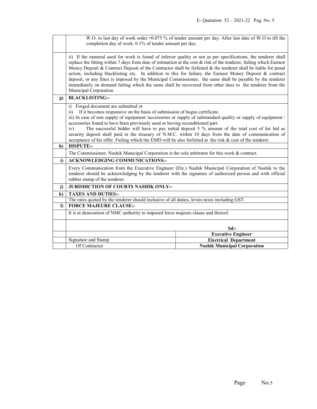|          | W.O. to last day of work order.=0.075 % of tender amount per day. After last date of W.O to till the<br>completion day of work. 0.1% of tender amount per day.                                                                                                                                                                                                                                                                                                                                                                                                                                                                                                                                                          |                                     |  |
|----------|-------------------------------------------------------------------------------------------------------------------------------------------------------------------------------------------------------------------------------------------------------------------------------------------------------------------------------------------------------------------------------------------------------------------------------------------------------------------------------------------------------------------------------------------------------------------------------------------------------------------------------------------------------------------------------------------------------------------------|-------------------------------------|--|
|          |                                                                                                                                                                                                                                                                                                                                                                                                                                                                                                                                                                                                                                                                                                                         |                                     |  |
|          | ii) If the material used for work is found of inferior quality or not as per specifications, the tenderer shall<br>replace the fitting within 7 days from date of intimation at the cost & risk of the tenderer, failing which Earnest<br>Money Deposit & Contract Deposit of the Contractor shall be forfeited & the tenderer shall be liable for penal<br>action, including blacklisting etc. In addition to this for failure, the Earnest Money Deposit & contract<br>deposit, or any fines is imposed by the Municipal Commissioner, the same shall be payable by the tenderer<br>immediately on demand failing which the same shall be recovered from other dues to the tenderer from the<br>Municipal Corporation |                                     |  |
| g)       | <b>BLACKLISTING:-</b>                                                                                                                                                                                                                                                                                                                                                                                                                                                                                                                                                                                                                                                                                                   |                                     |  |
|          | Forged document are submitted or<br>$\mathbf{i}$<br>If it becomes responsive on the basis of submission of bogus certificate.<br>$\overline{11}$<br>iii) In case of non supply of equipment /accessories or supply of substandard quality or supply of equipment /<br>accessories found to have been previously used or having reconditioned part.<br>The successful bidder will have to pay initial deposit 5 % amount of the total cost of his bid as<br>iv)<br>security deposit shall paid in the treasury of N.M.C. within 10 days from the date of communication of<br>acceptance of his offer. Failing which the EMD will be also forfeited at the risk & cost of the tenderer.                                   |                                     |  |
| h)       | <b>DISPUTE:-</b>                                                                                                                                                                                                                                                                                                                                                                                                                                                                                                                                                                                                                                                                                                        |                                     |  |
|          | The Commissioner, Nashik Municipal Corporation is the sole arbitrator for this work & contract.                                                                                                                                                                                                                                                                                                                                                                                                                                                                                                                                                                                                                         |                                     |  |
| i)       | <b>ACKNOWLEDGING COMMUNICATIONS:-</b>                                                                                                                                                                                                                                                                                                                                                                                                                                                                                                                                                                                                                                                                                   |                                     |  |
|          | Every Communication from the Executive Engineer (Ele.) Nashik Municipal Corporation of Nashik to the<br>tenderer should be acknowledging by the tenderer with the signature of authorized person and with official<br>rubber stamp of the tenderer.                                                                                                                                                                                                                                                                                                                                                                                                                                                                     |                                     |  |
| j)       | JURISDICTION OF COURTS NASHIK ONLY:-                                                                                                                                                                                                                                                                                                                                                                                                                                                                                                                                                                                                                                                                                    |                                     |  |
| $\bf k$  | <b>TAXES AND DUTIES:-</b>                                                                                                                                                                                                                                                                                                                                                                                                                                                                                                                                                                                                                                                                                               |                                     |  |
|          | The rates quoted by the tenderer should inclusive of all duties, levies taxes including GST.                                                                                                                                                                                                                                                                                                                                                                                                                                                                                                                                                                                                                            |                                     |  |
| $\bf{D}$ | <b>FORCE MAJEURE CLAUSE:-</b>                                                                                                                                                                                                                                                                                                                                                                                                                                                                                                                                                                                                                                                                                           |                                     |  |
|          | It is at desecration of NMC authority to imposed force majeure clause and thereof.                                                                                                                                                                                                                                                                                                                                                                                                                                                                                                                                                                                                                                      |                                     |  |
|          |                                                                                                                                                                                                                                                                                                                                                                                                                                                                                                                                                                                                                                                                                                                         | $Sd$ /-                             |  |
|          |                                                                                                                                                                                                                                                                                                                                                                                                                                                                                                                                                                                                                                                                                                                         | <b>Executive Engineer</b>           |  |
|          | Signature and Stamp                                                                                                                                                                                                                                                                                                                                                                                                                                                                                                                                                                                                                                                                                                     | <b>Electrical Department</b>        |  |
|          | Of Contractor                                                                                                                                                                                                                                                                                                                                                                                                                                                                                                                                                                                                                                                                                                           | <b>Nashik Municipal Corporation</b> |  |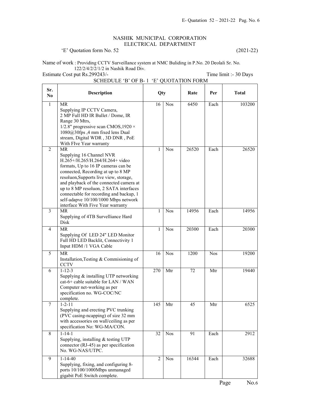## NASHIK MUNICIPAL CORPORATION ELECTRICAL DEPARTMENT

'E' Quotation form No. 52 (2021-22)

Name of work : Providing CCTV Surveillance system at NMC Buliding in P.No. 20 Deolali Sr. No. 122/2/4/2/2/1/2 in Nashik Road Div.

Estimate Cost put Rs.299243/-<br>
Time limit :- 30 Days SCHEDULE 'B' OF B- 1 'E' QUOTATION FORM

| Sr.<br>N <sub>0</sub> | <b>Description</b>                                                                                                                                                                                                                                                                                                                                                                                           | Qty            |            | Rate  | Per        | <b>Total</b> |
|-----------------------|--------------------------------------------------------------------------------------------------------------------------------------------------------------------------------------------------------------------------------------------------------------------------------------------------------------------------------------------------------------------------------------------------------------|----------------|------------|-------|------------|--------------|
| $\mathbf{1}$          | <b>MR</b><br>Supplying IP CCTV Camera,<br>2 MP Full HD IR Bullet / Dome, IR<br>Range 30 Mtrs,<br>1/2.8" progressive scan CMOS, 1920 $\times$<br>1080@30fps ,4 mm fixed lens Dual<br>stream, Digital WDR, 3D DNR, PoE<br>With FIve Year warranty                                                                                                                                                              | 16             | <b>Nos</b> | 6450  | Each       | 103200       |
| $\overline{2}$        | <b>MR</b><br>Supplying 16 Channel NVR<br>H.265+/H.265/H.264/H.264+ video<br>formats, Up to 16 IP cameras can be<br>connected, Recording at up to 8 MP<br>resoluon, Supports live view, storage,<br>and playback of the connected camera at<br>up to 8 MP resoluon, 2 SATA interfaces<br>connectable for recording and backup, 1<br>self-adapve 10/100/1000 Mbps network<br>interface With Five Year warranty | 1              | <b>Nos</b> | 26520 | Each       | 26520        |
| $\overline{3}$        | MR<br>Supplying of 4TB Survelliance Hard<br>Disk                                                                                                                                                                                                                                                                                                                                                             | 1              | <b>Nos</b> | 14956 | Each       | 14956        |
| 4                     | <b>MR</b><br>Supplying Of LED 24" LED Monitor<br>Full HD LED Backlit, Connectivity 1<br>Input HDM /1 VGA Cable                                                                                                                                                                                                                                                                                               | 1              | <b>Nos</b> | 20300 | Each       | 20300        |
| 5                     | <b>MR</b><br>Installation, Testing & Commisioning of<br><b>CCTV</b>                                                                                                                                                                                                                                                                                                                                          | 16             | <b>Nos</b> | 1200  | <b>Nos</b> | 19200        |
| 6                     | $1 - 12 - 3$<br>Supplying & installing UTP networking<br>cat-6+ cable suitable for LAN / WAN<br>Computer net-working as per<br>specification no. WG-COC/NC<br>complete.                                                                                                                                                                                                                                      | 270            | Mtr        | 72    | Mtr        | 19440        |
| 7                     | $1 - 2 - 11$<br>Supplying and erecting PVC trunking<br>(PVC casing-ncapping) of size 32 mm<br>with accessories on wall/ceiling as per<br>specification No: WG-MA/CON.                                                                                                                                                                                                                                        | 145            | Mtr        | 45    | Mtr        | 6525         |
| 8                     | $1 - 14 - 1$<br>Supplying, installing & testing UTP<br>connector (RJ-45) as per specification<br>No. WG-NAS/UTPC.                                                                                                                                                                                                                                                                                            | 32             | <b>Nos</b> | 91    | Each       | 2912         |
| 9                     | $1 - 14 - 40$<br>Supplying, fixing, and configuring 8-<br>ports 10/100/1000Mbps unmanaged<br>gigabit PoE Switch complete.                                                                                                                                                                                                                                                                                    | $\overline{2}$ | <b>Nos</b> | 16344 | Each       | 32688        |
|                       |                                                                                                                                                                                                                                                                                                                                                                                                              |                |            |       |            | Page<br>No.6 |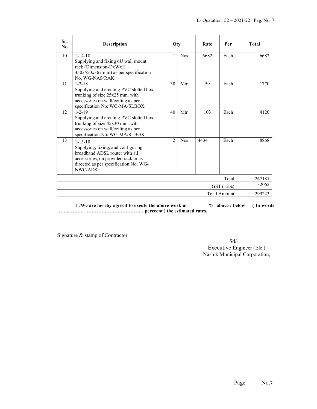| Sr.<br>No.   | <b>Description</b>                                                                                                                                                                | Oty           |            | Rate   | Per  | <b>Total</b> |
|--------------|-----------------------------------------------------------------------------------------------------------------------------------------------------------------------------------|---------------|------------|--------|------|--------------|
| 10           | $1 - 14 - 18$<br>Supplying and fixing 6U wall mount<br>rack (Dimension-DxWxH -<br>$450x550x367$ mm) as per specification<br>No. WG-NAS/RAK                                        | 1             | <b>Nos</b> | 6682   | Each | 6682         |
| 11           | $1 - 2 - 18$<br>Supplying and erecting PVC slotted box<br>trunking of size 25x25 mm. with<br>accessories on wall/ceiling as per<br>specification No: WG-MA/SLBOX.                 | 30            | Mtr        | 59     | Each | 1770         |
| 12           | $1 - 2 - 19$<br>Supplying and erecting PVC slotted box<br>trunking of size 45x30 mm. with<br>accessories on wall/ceiling as per<br>specification No: WG-MA/SLBOX.                 | 40            | Mtr        | 103    | Each | 4120         |
| 13           | $1 - 13 - 10$<br>Supplying, fixing, and configuring<br>broadband ADSL router with all<br>accessories, on provided rack or as<br>directed as per specification No. WG-<br>NWC/ADSL | $\mathcal{L}$ | <b>Nos</b> | 4434   | Each | 8868         |
| Total        |                                                                                                                                                                                   |               |            | 267181 |      |              |
| GST (12%)    |                                                                                                                                                                                   |               |            | 32062  |      |              |
| Total Amount |                                                                                                                                                                                   |               | 299243     |        |      |              |

I /We are hereby agreed to exeute the above work at  $\%$  above / below (In words) ……..……… ……………………………… perecent ) the estimated rates.

Signature & stamp of Contractor

 Sd/- Executive Engineer (Ele.) Nashik Municipal Corporation,